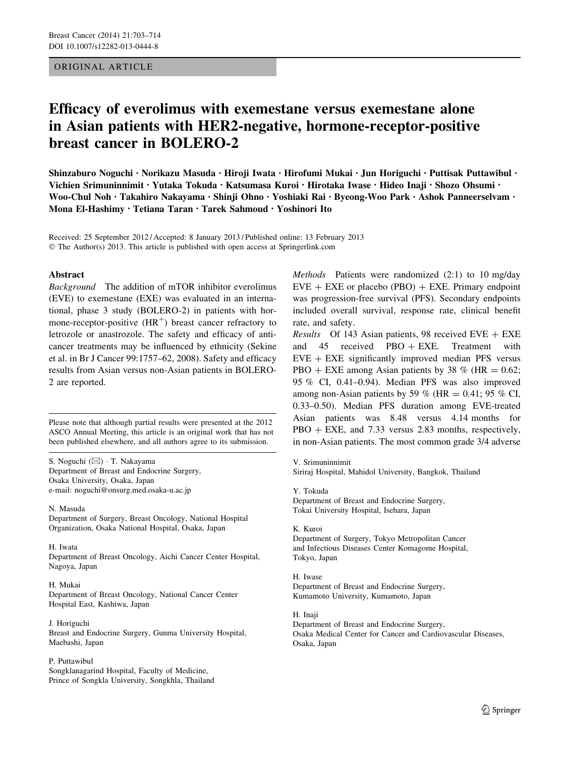# ORIGINAL ARTICLE

# Efficacy of everolimus with exemestane versus exemestane alone in Asian patients with HER2-negative, hormone-receptor-positive breast cancer in BOLERO-2

Shinzaburo Noguchi • Norikazu Masuda • Hiroji Iwata • Hirofumi Mukai • Jun Horiguchi • Puttisak Puttawibul • Vichien Srimuninnimit • Yutaka Tokuda • Katsumasa Kuroi • Hirotaka Iwase • Hideo Inaji • Shozo Ohsumi • Woo-Chul Noh • Takahiro Nakayama • Shinji Ohno • Yoshiaki Rai • Byeong-Woo Park • Ashok Panneerselvam • Mona El-Hashimy • Tetiana Taran • Tarek Sahmoud • Yoshinori Ito

Received: 25 September 2012 / Accepted: 8 January 2013 / Published online: 13 February 2013 © The Author(s) 2013. This article is published with open access at Springerlink.com

## Abstract

Background The addition of mTOR inhibitor everolimus (EVE) to exemestane (EXE) was evaluated in an international, phase 3 study (BOLERO-2) in patients with hormone-receptor-positive  $(HR<sup>+</sup>)$  breast cancer refractory to letrozole or anastrozole. The safety and efficacy of anticancer treatments may be influenced by ethnicity (Sekine et al. in Br J Cancer 99:1757–62, 2008). Safety and efficacy results from Asian versus non-Asian patients in BOLERO-2 are reported.

Please note that although partial results were presented at the 2012 ASCO Annual Meeting, this article is an original work that has not been published elsewhere, and all authors agree to its submission.

S. Noguchi (&) - T. Nakayama Department of Breast and Endocrine Surgery, Osaka University, Osaka, Japan e-mail: noguchi@onsurg.med.osaka-u.ac.jp

N. Masuda

Department of Surgery, Breast Oncology, National Hospital Organization, Osaka National Hospital, Osaka, Japan

#### H. Iwata

Department of Breast Oncology, Aichi Cancer Center Hospital, Nagoya, Japan

#### H. Mukai

Department of Breast Oncology, National Cancer Center Hospital East, Kashiwa, Japan

J. Horiguchi Breast and Endocrine Surgery, Gunma University Hospital, Maebashi, Japan

#### P. Puttawibul

Songklanagarind Hospital, Faculty of Medicine, Prince of Songkla University, Songkhla, Thailand Methods Patients were randomized (2:1) to 10 mg/day  $EVE + EXE$  or placebo (PBO)  $+ EXE$ . Primary endpoint was progression-free survival (PFS). Secondary endpoints included overall survival, response rate, clinical benefit rate, and safety.

*Results* Of 143 Asian patients, 98 received  $EVE + EXE$ and 45 received PBO  $+$  EXE. Treatment with  $EVE + EXE$  significantly improved median PFS versus PBO + EXE among Asian patients by 38 % (HR =  $0.62$ ; 95 % CI, 0.41–0.94). Median PFS was also improved among non-Asian patients by 59 % (HR =  $0.41$ ; 95 % CI, 0.33–0.50). Median PFS duration among EVE-treated Asian patients was 8.48 versus 4.14 months for  $PBO + EXE$ , and 7.33 versus 2.83 months, respectively, in non-Asian patients. The most common grade 3/4 adverse

V. Srimuninnimit

Siriraj Hospital, Mahidol University, Bangkok, Thailand

Y. Tokuda Department of Breast and Endocrine Surgery, Tokai University Hospital, Isehara, Japan

#### K. Kuroi Department of Surgery, Tokyo Metropolitan Cancer

and Infectious Diseases Center Komagome Hospital, Tokyo, Japan

H. Iwase Department of Breast and Endocrine Surgery, Kumamoto University, Kumamoto, Japan

H. Inaji

Department of Breast and Endocrine Surgery, Osaka Medical Center for Cancer and Cardiovascular Diseases, Osaka, Japan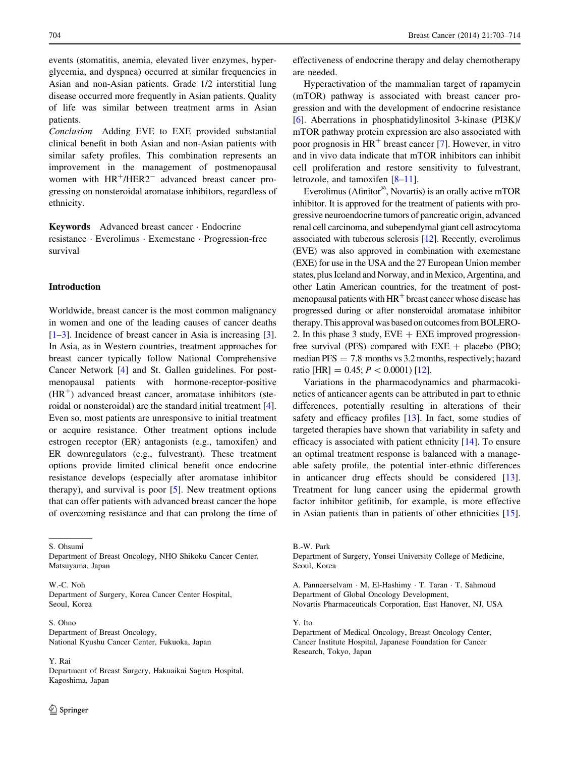events (stomatitis, anemia, elevated liver enzymes, hyperglycemia, and dyspnea) occurred at similar frequencies in Asian and non-Asian patients. Grade 1/2 interstitial lung disease occurred more frequently in Asian patients. Quality of life was similar between treatment arms in Asian patients.

Conclusion Adding EVE to EXE provided substantial clinical benefit in both Asian and non-Asian patients with similar safety profiles. This combination represents an improvement in the management of postmenopausal women with  $HR^{+}/HER2^{-}$  advanced breast cancer progressing on nonsteroidal aromatase inhibitors, regardless of ethnicity.

Keywords Advanced breast cancer - Endocrine resistance - Everolimus - Exemestane - Progression-free survival

## Introduction

Worldwide, breast cancer is the most common malignancy in women and one of the leading causes of cancer deaths [\[1–3](#page-10-0)]. Incidence of breast cancer in Asia is increasing [\[3](#page-10-0)]. In Asia, as in Western countries, treatment approaches for breast cancer typically follow National Comprehensive Cancer Network [\[4](#page-11-0)] and St. Gallen guidelines. For postmenopausal patients with hormone-receptor-positive  $(HR<sup>+</sup>)$  advanced breast cancer, aromatase inhibitors (steroidal or nonsteroidal) are the standard initial treatment [\[4](#page-11-0)]. Even so, most patients are unresponsive to initial treatment or acquire resistance. Other treatment options include estrogen receptor (ER) antagonists (e.g., tamoxifen) and ER downregulators (e.g., fulvestrant). These treatment options provide limited clinical benefit once endocrine resistance develops (especially after aromatase inhibitor therapy), and survival is poor [[5\]](#page-11-0). New treatment options that can offer patients with advanced breast cancer the hope of overcoming resistance and that can prolong the time of

S. Ohsumi

Department of Breast Oncology, NHO Shikoku Cancer Center, Matsuyama, Japan

W.-C. Noh Department of Surgery, Korea Cancer Center Hospital, Seoul, Korea

S. Ohno Department of Breast Oncology, National Kyushu Cancer Center, Fukuoka, Japan

Y. Rai

Department of Breast Surgery, Hakuaikai Sagara Hospital, Kagoshima, Japan

effectiveness of endocrine therapy and delay chemotherapy are needed.

Hyperactivation of the mammalian target of rapamycin (mTOR) pathway is associated with breast cancer progression and with the development of endocrine resistance [\[6](#page-11-0)]. Aberrations in phosphatidylinositol 3-kinase (PI3K)/ mTOR pathway protein expression are also associated with poor prognosis in  $HR^+$  breast cancer [[7\]](#page-11-0). However, in vitro and in vivo data indicate that mTOR inhibitors can inhibit cell proliferation and restore sensitivity to fulvestrant, letrozole, and tamoxifen [\[8–11](#page-11-0)].

Everolimus (Afinitor®, Novartis) is an orally active mTOR inhibitor. It is approved for the treatment of patients with progressive neuroendocrine tumors of pancreatic origin, advanced renal cell carcinoma, and subependymal giant cell astrocytoma associated with tuberous sclerosis [[12](#page-11-0)]. Recently, everolimus (EVE) was also approved in combination with exemestane (EXE) for use in the USA and the 27 European Union member states, plus Iceland and Norway, and in Mexico, Argentina, and other Latin American countries, for the treatment of postmenopausal patients with  $HR<sup>+</sup>$  breast cancer whose disease has progressed during or after nonsteroidal aromatase inhibitor therapy. This approval was based on outcomes from BOLERO-2. In this phase 3 study,  $EVE + EXE$  improved progressionfree survival (PFS) compared with  $EXE +$  placebo (PBO; median PFS = 7.8 months vs 3.2 months, respectively; hazard ratio [HR] = 0.45;  $P < 0.0001$  [\[12\]](#page-11-0).

Variations in the pharmacodynamics and pharmacokinetics of anticancer agents can be attributed in part to ethnic differences, potentially resulting in alterations of their safety and efficacy profiles [\[13](#page-11-0)]. In fact, some studies of targeted therapies have shown that variability in safety and efficacy is associated with patient ethnicity [[14\]](#page-11-0). To ensure an optimal treatment response is balanced with a manageable safety profile, the potential inter-ethnic differences in anticancer drug effects should be considered [\[13](#page-11-0)]. Treatment for lung cancer using the epidermal growth factor inhibitor gefitinib, for example, is more effective in Asian patients than in patients of other ethnicities [\[15](#page-11-0)].

B.-W. Park

Department of Surgery, Yonsei University College of Medicine, Seoul, Korea

A. Panneerselvam - M. El-Hashimy - T. Taran - T. Sahmoud Department of Global Oncology Development, Novartis Pharmaceuticals Corporation, East Hanover, NJ, USA

Y. Ito

Department of Medical Oncology, Breast Oncology Center, Cancer Institute Hospital, Japanese Foundation for Cancer Research, Tokyo, Japan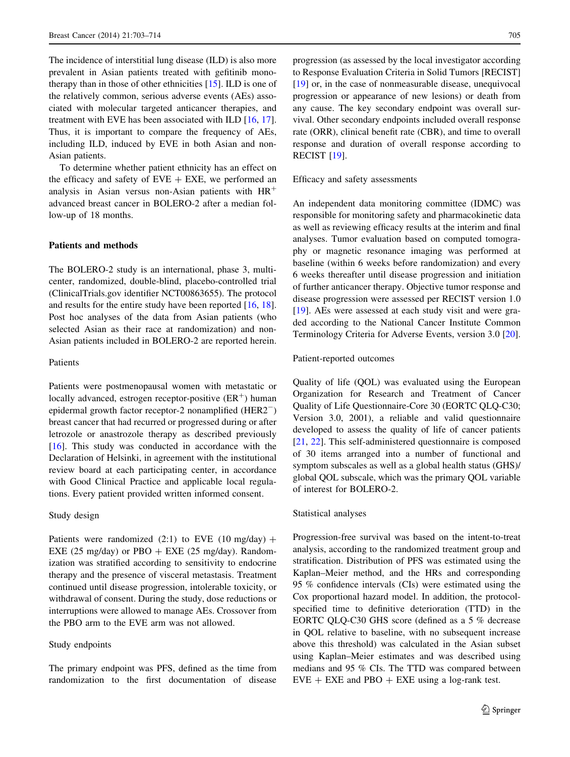<span id="page-2-0"></span>The incidence of interstitial lung disease (ILD) is also more prevalent in Asian patients treated with gefitinib monotherapy than in those of other ethnicities [[15\]](#page-11-0). ILD is one of the relatively common, serious adverse events (AEs) associated with molecular targeted anticancer therapies, and treatment with EVE has been associated with ILD [\[16](#page-11-0), [17](#page-11-0)]. Thus, it is important to compare the frequency of AEs, including ILD, induced by EVE in both Asian and non-Asian patients.

To determine whether patient ethnicity has an effect on the efficacy and safety of  $EVE + EXE$ , we performed an analysis in Asian versus non-Asian patients with  $HR<sup>+</sup>$ advanced breast cancer in BOLERO-2 after a median follow-up of 18 months.

# Patients and methods

The BOLERO-2 study is an international, phase 3, multicenter, randomized, double-blind, placebo-controlled trial (ClinicalTrials.gov identifier NCT00863655). The protocol and results for the entire study have been reported [\[16](#page-11-0), [18](#page-11-0)]. Post hoc analyses of the data from Asian patients (who selected Asian as their race at randomization) and non-Asian patients included in BOLERO-2 are reported herein.

#### Patients

Patients were postmenopausal women with metastatic or locally advanced, estrogen receptor-positive  $(ER^+)$  human epidermal growth factor receptor-2 nonamplified (HER2-) breast cancer that had recurred or progressed during or after letrozole or anastrozole therapy as described previously  $[16]$  $[16]$ . This study was conducted in accordance with the Declaration of Helsinki, in agreement with the institutional review board at each participating center, in accordance with Good Clinical Practice and applicable local regulations. Every patient provided written informed consent.

## Study design

Patients were randomized (2:1) to EVE (10 mg/day) + EXE (25 mg/day) or PBO  $+$  EXE (25 mg/day). Randomization was stratified according to sensitivity to endocrine therapy and the presence of visceral metastasis. Treatment continued until disease progression, intolerable toxicity, or withdrawal of consent. During the study, dose reductions or interruptions were allowed to manage AEs. Crossover from the PBO arm to the EVE arm was not allowed.

#### Study endpoints

The primary endpoint was PFS, defined as the time from randomization to the first documentation of disease progression (as assessed by the local investigator according to Response Evaluation Criteria in Solid Tumors [RECIST] [\[19](#page-11-0)] or, in the case of nonmeasurable disease, unequivocal progression or appearance of new lesions) or death from any cause. The key secondary endpoint was overall survival. Other secondary endpoints included overall response rate (ORR), clinical benefit rate (CBR), and time to overall response and duration of overall response according to RECIST [\[19](#page-11-0)].

Efficacy and safety assessments

An independent data monitoring committee (IDMC) was responsible for monitoring safety and pharmacokinetic data as well as reviewing efficacy results at the interim and final analyses. Tumor evaluation based on computed tomography or magnetic resonance imaging was performed at baseline (within 6 weeks before randomization) and every 6 weeks thereafter until disease progression and initiation of further anticancer therapy. Objective tumor response and disease progression were assessed per RECIST version 1.0 [\[19](#page-11-0)]. AEs were assessed at each study visit and were graded according to the National Cancer Institute Common Terminology Criteria for Adverse Events, version 3.0 [\[20](#page-11-0)].

## Patient-reported outcomes

Quality of life (QOL) was evaluated using the European Organization for Research and Treatment of Cancer Quality of Life Questionnaire-Core 30 (EORTC QLQ-C30; Version 3.0, 2001), a reliable and valid questionnaire developed to assess the quality of life of cancer patients [\[21](#page-11-0), [22\]](#page-11-0). This self-administered questionnaire is composed of 30 items arranged into a number of functional and symptom subscales as well as a global health status (GHS)/ global QOL subscale, which was the primary QOL variable of interest for BOLERO-2.

## Statistical analyses

Progression-free survival was based on the intent-to-treat analysis, according to the randomized treatment group and stratification. Distribution of PFS was estimated using the Kaplan–Meier method, and the HRs and corresponding 95 % confidence intervals (CIs) were estimated using the Cox proportional hazard model. In addition, the protocolspecified time to definitive deterioration (TTD) in the EORTC QLQ-C30 GHS score (defined as a 5 % decrease in QOL relative to baseline, with no subsequent increase above this threshold) was calculated in the Asian subset using Kaplan–Meier estimates and was described using medians and 95 % CIs. The TTD was compared between  $EVE + EXE$  and  $PBO + EXE$  using a log-rank test.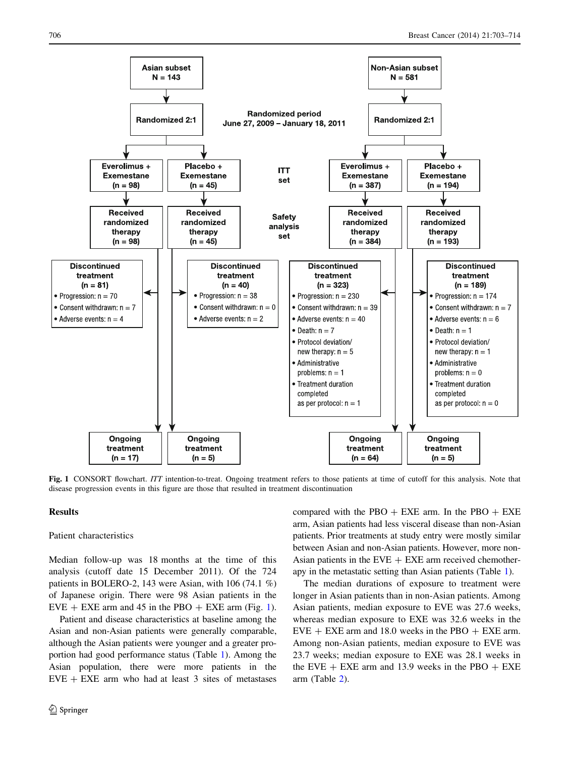<span id="page-3-0"></span>

Fig. 1 CONSORT flowchart. ITT intention-to-treat. Ongoing treatment refers to those patients at time of cutoff for this analysis. Note that disease progression events in this figure are those that resulted in treatment discontinuation

## Results

## Patient characteristics

Median follow-up was 18 months at the time of this analysis (cutoff date 15 December 2011). Of the 724 patients in BOLERO-2, 143 were Asian, with 106 (74.1 %) of Japanese origin. There were 98 Asian patients in the  $EVE + EXE$  arm and 45 in the PBO + EXE arm (Fig. 1).

Patient and disease characteristics at baseline among the Asian and non-Asian patients were generally comparable, although the Asian patients were younger and a greater proportion had good performance status (Table [1](#page-4-0)). Among the Asian population, there were more patients in the  $EVE + EXE$  arm who had at least 3 sites of metastases

compared with the PBO  $+$  EXE arm. In the PBO  $+$  EXE arm, Asian patients had less visceral disease than non-Asian patients. Prior treatments at study entry were mostly similar between Asian and non-Asian patients. However, more non-Asian patients in the  $EVE + EXE$  arm received chemotherapy in the metastatic setting than Asian patients (Table [1\)](#page-4-0).

The median durations of exposure to treatment were longer in Asian patients than in non-Asian patients. Among Asian patients, median exposure to EVE was 27.6 weeks, whereas median exposure to EXE was 32.6 weeks in the  $EVE + EXE$  arm and 18.0 weeks in the PBO  $+ EXE$  arm. Among non-Asian patients, median exposure to EVE was 23.7 weeks; median exposure to EXE was 28.1 weeks in the EVE  $+$  EXE arm and 13.9 weeks in the PBO  $+$  EXE arm (Table [2\)](#page-5-0).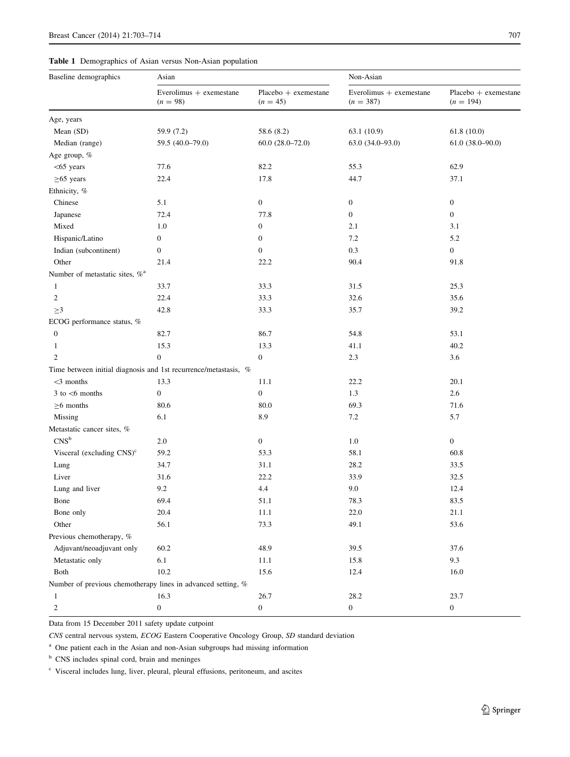# <span id="page-4-0"></span>Table 1 Demographics of Asian versus Non-Asian population

| Baseline demographics                      | Asian                                                           |                                      | Non-Asian                              |                                     |  |  |  |  |
|--------------------------------------------|-----------------------------------------------------------------|--------------------------------------|----------------------------------------|-------------------------------------|--|--|--|--|
|                                            | Everolimus + exemestane<br>$(n = 98)$                           | $Placebo +$ exemestane<br>$(n = 45)$ | Everolimus + exemestane<br>$(n = 387)$ | Placebo + exemestane<br>$(n = 194)$ |  |  |  |  |
| Age, years                                 |                                                                 |                                      |                                        |                                     |  |  |  |  |
| Mean (SD)                                  | 59.9 (7.2)                                                      | 58.6 (8.2)                           | 63.1 (10.9)                            | 61.8(10.0)                          |  |  |  |  |
| Median (range)                             | 59.5 (40.0-79.0)                                                | $60.0(28.0 - 72.0)$                  | 63.0 (34.0-93.0)                       | $61.0 (38.0 - 90.0)$                |  |  |  |  |
| Age group, %                               |                                                                 |                                      |                                        |                                     |  |  |  |  |
| $<$ 65 years                               | 77.6                                                            | 82.2                                 | 55.3                                   | 62.9                                |  |  |  |  |
| $\geq 65$ years                            | 22.4                                                            | 17.8                                 | 44.7                                   | 37.1                                |  |  |  |  |
| Ethnicity, %                               |                                                                 |                                      |                                        |                                     |  |  |  |  |
| Chinese                                    | 5.1                                                             | $\boldsymbol{0}$                     | $\boldsymbol{0}$                       | $\boldsymbol{0}$                    |  |  |  |  |
| Japanese                                   | 72.4                                                            | 77.8                                 | $\boldsymbol{0}$                       | $\mathbf{0}$                        |  |  |  |  |
| Mixed                                      | 1.0                                                             | $\boldsymbol{0}$                     | 2.1                                    | 3.1                                 |  |  |  |  |
| Hispanic/Latino                            | $\mathbf{0}$                                                    | $\boldsymbol{0}$                     | 7.2                                    | 5.2                                 |  |  |  |  |
| Indian (subcontinent)                      | $\mathbf{0}$                                                    | $\boldsymbol{0}$                     | 0.3                                    | $\boldsymbol{0}$                    |  |  |  |  |
| Other                                      | 21.4                                                            | 22.2                                 | 90.4                                   | 91.8                                |  |  |  |  |
| Number of metastatic sites, % <sup>a</sup> |                                                                 |                                      |                                        |                                     |  |  |  |  |
| 1                                          | 33.7                                                            | 33.3                                 | 31.5                                   | 25.3                                |  |  |  |  |
| 2                                          | 22.4                                                            | 33.3                                 | 32.6                                   | 35.6                                |  |  |  |  |
| $\geq$ 3                                   | 42.8                                                            | 33.3                                 | 35.7                                   | 39.2                                |  |  |  |  |
| ECOG performance status, %                 |                                                                 |                                      |                                        |                                     |  |  |  |  |
| $\boldsymbol{0}$                           | 82.7                                                            | 86.7                                 | 54.8                                   | 53.1                                |  |  |  |  |
| $\mathbf{1}$                               | 15.3                                                            | 13.3                                 | 41.1                                   | 40.2                                |  |  |  |  |
| $\mathfrak{2}$                             | $\boldsymbol{0}$                                                | $\boldsymbol{0}$                     | 2.3                                    | 3.6                                 |  |  |  |  |
|                                            | Time between initial diagnosis and 1st recurrence/metastasis, % |                                      |                                        |                                     |  |  |  |  |
| $<$ 3 months                               | 13.3                                                            | 11.1                                 | 22.2                                   | 20.1                                |  |  |  |  |
| $3$ to $<$ 6 months                        | $\boldsymbol{0}$                                                | $\boldsymbol{0}$                     | 1.3                                    | 2.6                                 |  |  |  |  |
| $\geq$ 6 months                            | 80.6                                                            | 80.0                                 | 69.3                                   | 71.6                                |  |  |  |  |
| Missing                                    | 6.1                                                             | 8.9                                  | 7.2                                    | 5.7                                 |  |  |  |  |
| Metastatic cancer sites, %                 |                                                                 |                                      |                                        |                                     |  |  |  |  |
| CNS <sup>b</sup>                           | 2.0                                                             | $\boldsymbol{0}$                     | 1.0                                    | $\boldsymbol{0}$                    |  |  |  |  |
| Visceral (excluding $CNS$ ) <sup>c</sup>   | 59.2                                                            | 53.3                                 | 58.1                                   | 60.8                                |  |  |  |  |
| Lung                                       | 34.7                                                            | 31.1                                 | 28.2                                   | 33.5                                |  |  |  |  |
| Liver                                      | 31.6                                                            | 22.2                                 | 33.9                                   | 32.5                                |  |  |  |  |
| Lung and liver                             | 9.2                                                             | 4.4                                  | 9.0                                    | 12.4                                |  |  |  |  |
| Bone                                       | 69.4                                                            | 51.1                                 | 78.3                                   | 83.5                                |  |  |  |  |
| Bone only                                  | 20.4                                                            | 11.1                                 | 22.0                                   | 21.1                                |  |  |  |  |
| Other                                      | 56.1                                                            | 73.3                                 | 49.1                                   | 53.6                                |  |  |  |  |
| Previous chemotherapy, %                   |                                                                 |                                      |                                        |                                     |  |  |  |  |
| Adjuvant/neoadjuvant only                  | 60.2                                                            | 48.9                                 | 39.5                                   | 37.6                                |  |  |  |  |
| Metastatic only                            | $6.1\,$                                                         | 11.1                                 | 15.8                                   | 9.3                                 |  |  |  |  |
| Both                                       | 10.2                                                            | 15.6                                 | 12.4                                   | 16.0                                |  |  |  |  |
|                                            | Number of previous chemotherapy lines in advanced setting, %    |                                      |                                        |                                     |  |  |  |  |
| 1                                          | 16.3                                                            | 26.7                                 | 28.2                                   | 23.7                                |  |  |  |  |

Data from 15 December 2011 safety update cutpoint

CNS central nervous system, ECOG Eastern Cooperative Oncology Group, SD standard deviation

 $2$  0 0 0 0 0

<sup>a</sup> One patient each in the Asian and non-Asian subgroups had missing information

<sup>b</sup> CNS includes spinal cord, brain and meninges

<sup>c</sup> Visceral includes lung, liver, pleural, pleural effusions, peritoneum, and ascites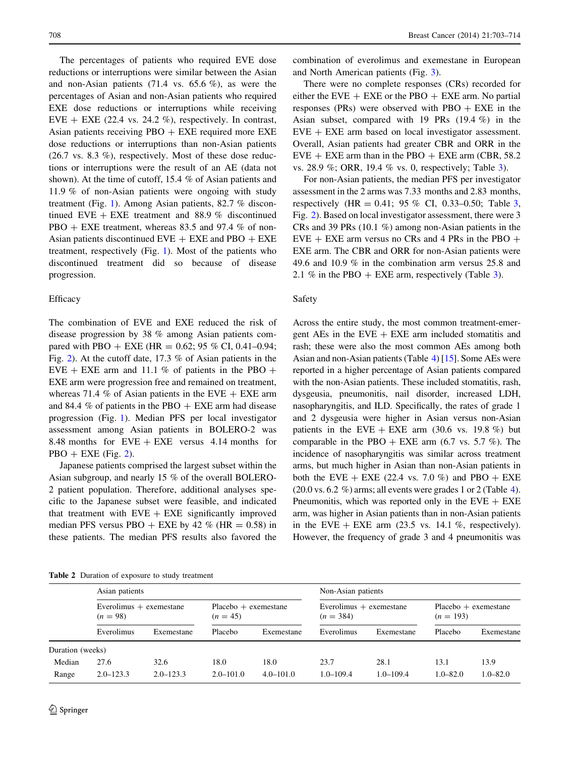<span id="page-5-0"></span>The percentages of patients who required EVE dose reductions or interruptions were similar between the Asian and non-Asian patients  $(71.4 \text{ vs. } 65.6 \%)$ , as were the percentages of Asian and non-Asian patients who required EXE dose reductions or interruptions while receiving EVE + EXE (22.4 vs. 24.2 %), respectively. In contrast, Asian patients receiving  $PBO + EXE$  required more  $EXE$ dose reductions or interruptions than non-Asian patients  $(26.7 \text{ vs. } 8.3 \%)$ , respectively. Most of these dose reductions or interruptions were the result of an AE (data not shown). At the time of cutoff, 15.4 % of Asian patients and 11.9 % of non-Asian patients were ongoing with study treatment (Fig. [1\)](#page-3-0). Among Asian patients, 82.7 % discontinued EVE  $+$  EXE treatment and 88.9 % discontinued  $PBO + EXE$  treatment, whereas 83.5 and 97.4 % of non-Asian patients discontinued  $EVE + EXE$  and  $PBO + EXE$ treatment, respectively (Fig. [1\)](#page-3-0). Most of the patients who discontinued treatment did so because of disease progression.

#### **Efficacy**

The combination of EVE and EXE reduced the risk of disease progression by 38 % among Asian patients compared with PBO + EXE (HR =  $0.62$ ; 95 % CI, 0.41-0.94; Fig. [2](#page-6-0)). At the cutoff date, 17.3 % of Asian patients in the EVE + EXE arm and 11.1 % of patients in the PBO + EXE arm were progression free and remained on treatment, whereas 71.4 % of Asian patients in the EVE  $+$  EXE arm and 84.4  $\%$  of patients in the PBO  $+$  EXE arm had disease progression (Fig. [1](#page-3-0)). Median PFS per local investigator assessment among Asian patients in BOLERO-2 was 8.48 months for  $EVE + EXE$  versus 4.14 months for  $PBO + EXE$  (Fig. [2\)](#page-6-0).

Japanese patients comprised the largest subset within the Asian subgroup, and nearly 15 % of the overall BOLERO-2 patient population. Therefore, additional analyses specific to the Japanese subset were feasible, and indicated that treatment with  $EVE + EXE$  significantly improved median PFS versus PBO + EXE by 42 % (HR =  $0.58$ ) in these patients. The median PFS results also favored the combination of everolimus and exemestane in European and North American patients (Fig. [3](#page-6-0)).

There were no complete responses (CRs) recorded for either the EVE  $+$  EXE or the PBO  $+$  EXE arm. No partial responses (PRs) were observed with PBO  $+$  EXE in the Asian subset, compared with 19 PRs (19.4 %) in the  $EVE + EXE$  arm based on local investigator assessment. Overall, Asian patients had greater CBR and ORR in the  $EVE + EXE$  arm than in the PBO  $+ EXE$  arm (CBR, 58.2) vs. 28.9 %; ORR, 19.4 % vs. 0, respectively; Table [3\)](#page-7-0).

For non-Asian patients, the median PFS per investigator assessment in the 2 arms was 7.33 months and 2.83 months, respectively (HR = 0.41; 95 % CI, 0.33–0.50; Table [3,](#page-7-0) Fig. [2](#page-6-0)). Based on local investigator assessment, there were 3 CRs and 39 PRs (10.1 %) among non-Asian patients in the  $EVE + EXE$  arm versus no CRs and 4 PRs in the PBO + EXE arm. The CBR and ORR for non-Asian patients were 49.6 and 10.9 % in the combination arm versus 25.8 and 2.1 % in the PBO  $+$  EXE arm, respectively (Table [3\)](#page-7-0).

#### Safety

Across the entire study, the most common treatment-emergent AEs in the  $EVE + EXE$  arm included stomatitis and rash; these were also the most common AEs among both Asian and non-Asian patients (Table [4\)](#page-8-0) [\[15](#page-11-0)]. Some AEs were reported in a higher percentage of Asian patients compared with the non-Asian patients. These included stomatitis, rash, dysgeusia, pneumonitis, nail disorder, increased LDH, nasopharyngitis, and ILD. Specifically, the rates of grade 1 and 2 dysgeusia were higher in Asian versus non-Asian patients in the EVE  $+$  EXE arm (30.6 vs. 19.8 %) but comparable in the PBO  $+$  EXE arm (6.7 vs. 5.7 %). The incidence of nasopharyngitis was similar across treatment arms, but much higher in Asian than non-Asian patients in both the EVE + EXE (22.4 vs. 7.0 %) and PBO + EXE  $(20.0 \text{ vs. } 6.2 \%)$  arms; all events were grades 1 or 2 (Table [4\)](#page-8-0). Pneumonitis, which was reported only in the  $EVE + EXE$ arm, was higher in Asian patients than in non-Asian patients in the EVE  $+$  EXE arm (23.5 vs. 14.1 %, respectively). However, the frequency of grade 3 and 4 pneumonitis was

|  |  |  |  |  |  | <b>Table 2</b> Duration of exposure to study treatment |
|--|--|--|--|--|--|--------------------------------------------------------|
|--|--|--|--|--|--|--------------------------------------------------------|

|                  | Asian patients                          |                       |                                      |                       | Non-Asian patients                       |                       |                      |                        |  |  |  |  |  |
|------------------|-----------------------------------------|-----------------------|--------------------------------------|-----------------------|------------------------------------------|-----------------------|----------------------|------------------------|--|--|--|--|--|
|                  | Everolimus $+$ exemestane<br>$(n = 98)$ |                       | $Placebo +$ exemestane<br>$(n = 45)$ |                       | Everolimus $+$ exemestane<br>$(n = 384)$ |                       | $(n = 193)$          | $Placebo +$ exemestane |  |  |  |  |  |
|                  | Everolimus                              | Exemestane            | Placebo                              | Exemestane            | Everolimus                               | Exemestane            | Placebo              | Exemestane             |  |  |  |  |  |
| Duration (weeks) |                                         |                       |                                      |                       |                                          |                       |                      |                        |  |  |  |  |  |
| Median<br>Range  | 27.6<br>$2.0 - 123.3$                   | 32.6<br>$2.0 - 123.3$ | 18.0<br>$2.0 - 101.0$                | 18.0<br>$4.0 - 101.0$ | 23.7<br>$1.0 - 109.4$                    | 28.1<br>$1.0 - 109.4$ | 13.1<br>$1.0 - 82.0$ | 13.9<br>$1.0 - 82.0$   |  |  |  |  |  |
|                  |                                         |                       |                                      |                       |                                          |                       |                      |                        |  |  |  |  |  |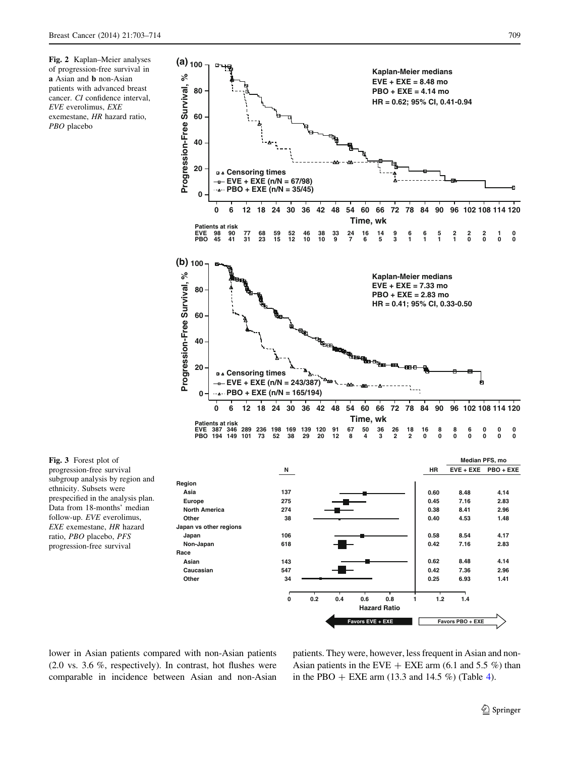<span id="page-6-0"></span>



Fig. 3 Forest plot of progression-free survival subgroup analysis by region and ethnicity. Subsets were prespecified in the analysis plan. Data from 18-months' median follow-up. EVE everolimus, EXE exemestane, HR hazard ratio, PBO placebo, PFS progression-free survival

lower in Asian patients compared with non-Asian patients (2.0 vs. 3.6 %, respectively). In contrast, hot flushes were comparable in incidence between Asian and non-Asian

**Race**

**Non-Japan 618**

**Asian 143 Caucasian 547 Other 34**

> patients. They were, however, less frequent in Asian and non-Asian patients in the EVE  $+$  EXE arm (6.1 and 5.5 %) than in the PBO  $+$  EXE arm (13.3 and 1[4](#page-8-0).5 %) (Table 4).

**Favors EVE + EXE Favors PBO + EXE**

**0 0.2 0.4 0.6 0.8 1 1.2 1.4 Hazard Ratio**

**0.42 7.16 2.83 0.62 8.48 4.14 0.42 7.36 2.96 0.25 6.93 1.41**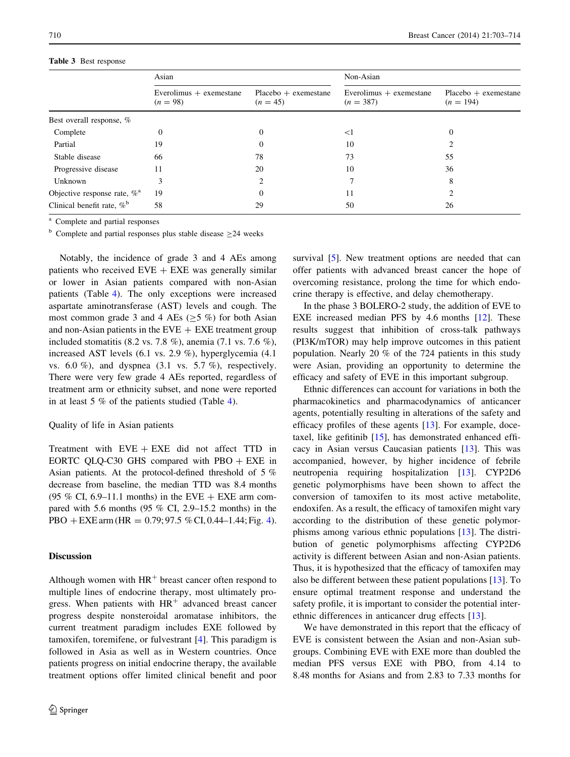## <span id="page-7-0"></span>Table 3 Best response

|                                          | Asian                                   |                                      | Non-Asian                                | $Placebo +$ exemestane<br>$(n = 194)$<br>0<br>55<br>36<br>8 |  |  |
|------------------------------------------|-----------------------------------------|--------------------------------------|------------------------------------------|-------------------------------------------------------------|--|--|
|                                          | Everolimus $+$ exemestane<br>$(n = 98)$ | $Placebo + exemestane$<br>$(n = 45)$ | Everolimus $+$ exemestane<br>$(n = 387)$ |                                                             |  |  |
| Best overall response, %                 |                                         |                                      |                                          |                                                             |  |  |
| Complete                                 | 0                                       | 0                                    | $<$ l                                    |                                                             |  |  |
| Partial                                  | 19                                      | $\Omega$                             | 10                                       |                                                             |  |  |
| Stable disease                           | 66                                      | 78                                   | 73                                       |                                                             |  |  |
| Progressive disease                      | 11                                      | 20                                   | 10                                       |                                                             |  |  |
| Unknown                                  | 3                                       | ∍                                    |                                          |                                                             |  |  |
| Objective response rate, $\%^a$          | 19                                      | $\Omega$                             | 11                                       |                                                             |  |  |
| Clinical benefit rate, $\%$ <sup>b</sup> | 58                                      | 29                                   | 50                                       | 26                                                          |  |  |

<sup>a</sup> Complete and partial responses

 $b$  Complete and partial responses plus stable disease  $\geq$  24 weeks

Notably, the incidence of grade 3 and 4 AEs among patients who received  $EVE + EXE$  was generally similar or lower in Asian patients compared with non-Asian patients (Table [4](#page-8-0)). The only exceptions were increased aspartate aminotransferase (AST) levels and cough. The most common grade 3 and 4 AEs ( $\geq$ 5 %) for both Asian and non-Asian patients in the  $EVE + EXE$  treatment group included stomatitis (8.2 vs. 7.8 %), anemia (7.1 vs. 7.6 %), increased AST levels (6.1 vs. 2.9 %), hyperglycemia (4.1 vs.  $6.0\%$ ), and dyspnea  $(3.1 \text{ vs. } 5.7\%)$ , respectively. There were very few grade 4 AEs reported, regardless of treatment arm or ethnicity subset, and none were reported in at least 5 % of the patients studied (Table [4\)](#page-8-0).

## Quality of life in Asian patients

Treatment with  $EVE + EXE$  did not affect TTD in EORTC QLQ-C30 GHS compared with  $PBO + EXE$  in Asian patients. At the protocol-defined threshold of 5 % decrease from baseline, the median TTD was 8.4 months (95 % CI, 6.9–11.1 months) in the EVE  $+$  EXE arm compared with 5.6 months (95 % CI, 2.9–15.2 months) in the PBO + EXE arm (HR =  $0.79$ ; 97.5 % CI, 0.[4](#page-10-0)4–1.44; Fig. 4).

## Discussion

Although women with  $HR<sup>+</sup>$  breast cancer often respond to multiple lines of endocrine therapy, most ultimately progress. When patients with  $HR<sup>+</sup>$  advanced breast cancer progress despite nonsteroidal aromatase inhibitors, the current treatment paradigm includes EXE followed by tamoxifen, toremifene, or fulvestrant [[4\]](#page-11-0). This paradigm is followed in Asia as well as in Western countries. Once patients progress on initial endocrine therapy, the available treatment options offer limited clinical benefit and poor survival [\[5](#page-11-0)]. New treatment options are needed that can offer patients with advanced breast cancer the hope of overcoming resistance, prolong the time for which endocrine therapy is effective, and delay chemotherapy.

In the phase 3 BOLERO-2 study, the addition of EVE to EXE increased median PFS by 4.6 months [\[12](#page-11-0)]. These results suggest that inhibition of cross-talk pathways (PI3K/mTOR) may help improve outcomes in this patient population. Nearly 20 % of the 724 patients in this study were Asian, providing an opportunity to determine the efficacy and safety of EVE in this important subgroup.

Ethnic differences can account for variations in both the pharmacokinetics and pharmacodynamics of anticancer agents, potentially resulting in alterations of the safety and efficacy profiles of these agents [[13\]](#page-11-0). For example, docetaxel, like gefitinib [\[15](#page-11-0)], has demonstrated enhanced efficacy in Asian versus Caucasian patients [[13\]](#page-11-0). This was accompanied, however, by higher incidence of febrile neutropenia requiring hospitalization [\[13](#page-11-0)]. CYP2D6 genetic polymorphisms have been shown to affect the conversion of tamoxifen to its most active metabolite, endoxifen. As a result, the efficacy of tamoxifen might vary according to the distribution of these genetic polymorphisms among various ethnic populations [\[13](#page-11-0)]. The distribution of genetic polymorphisms affecting CYP2D6 activity is different between Asian and non-Asian patients. Thus, it is hypothesized that the efficacy of tamoxifen may also be different between these patient populations [[13\]](#page-11-0). To ensure optimal treatment response and understand the safety profile, it is important to consider the potential interethnic differences in anticancer drug effects [[13\]](#page-11-0).

We have demonstrated in this report that the efficacy of EVE is consistent between the Asian and non-Asian subgroups. Combining EVE with EXE more than doubled the median PFS versus EXE with PBO, from 4.14 to 8.48 months for Asians and from 2.83 to 7.33 months for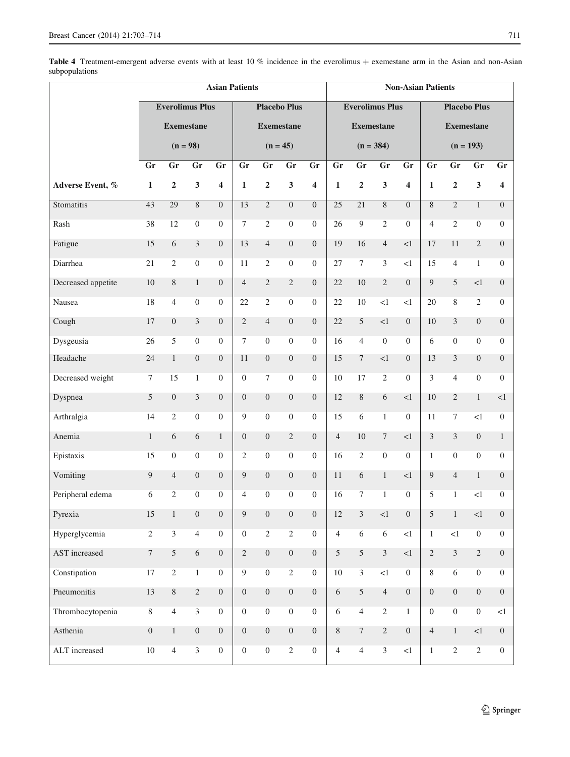<span id="page-8-0"></span>

|                    | <b>Asian Patients</b>                       |                         |                         |                         |                  |                     |                   |                  | <b>Non-Asian Patients</b>                     |                          |                         |                         |                  |                  |                         |                         |  |  |
|--------------------|---------------------------------------------|-------------------------|-------------------------|-------------------------|------------------|---------------------|-------------------|------------------|-----------------------------------------------|--------------------------|-------------------------|-------------------------|------------------|------------------|-------------------------|-------------------------|--|--|
|                    | <b>Everolimus Plus</b><br><b>Exemestane</b> |                         |                         |                         |                  | <b>Placebo Plus</b> |                   |                  | <b>Everolimus Plus</b><br><b>Placebo Plus</b> |                          |                         |                         |                  |                  |                         |                         |  |  |
|                    |                                             |                         |                         |                         |                  |                     | <b>Exemestane</b> |                  |                                               | <b>Exemestane</b>        |                         | <b>Exemestane</b>       |                  |                  |                         |                         |  |  |
|                    |                                             | $(n = 98)$              |                         |                         |                  |                     | $(n = 45)$        |                  | $(n = 384)$                                   |                          |                         |                         |                  | $(n = 193)$      |                         |                         |  |  |
|                    | Gr                                          | Gr                      | Gr                      | Gr                      | Gr               | Gr                  | Gr                | Gr               | Gr                                            | $\overline{\mathbf{Gr}}$ | Gr                      | Gr                      | Gr               | Gr               | Gr                      | Gr                      |  |  |
| Adverse Event, %   | $\mathbf{1}$                                | $\mathbf{2}$            | $\overline{\mathbf{3}}$ | $\overline{\mathbf{4}}$ | $\mathbf{1}$     | $\mathbf{2}$        | 3                 | 4                | $\mathbf{1}$                                  | $\mathbf{2}$             | $\overline{\mathbf{3}}$ | $\overline{\mathbf{4}}$ | $\mathbf{1}$     | $\overline{2}$   | $\overline{\mathbf{3}}$ | $\overline{\mathbf{4}}$ |  |  |
| Stomatitis         | 43                                          | 29                      | $\overline{8}$          | $\Omega$                | $\overline{13}$  | $\overline{2}$      | $\overline{0}$    | $\overline{0}$   | 25                                            | $\overline{21}$          | 8                       | $\overline{0}$          | 8                | $\overline{2}$   | $\mathbf{1}$            | $\overline{0}$          |  |  |
| Rash               | 38                                          | 12                      | $\boldsymbol{0}$        | $\overline{0}$          | $\overline{7}$   | $\overline{2}$      | $\overline{0}$    | $\overline{0}$   | 26                                            | 9                        | $\overline{2}$          | $\boldsymbol{0}$        | $\overline{4}$   | $\overline{2}$   | $\boldsymbol{0}$        | $\boldsymbol{0}$        |  |  |
| Fatigue            | 15                                          | $6\,$                   | 3                       | $\overline{0}$          | 13               | $\overline{4}$      | $\boldsymbol{0}$  | $\overline{0}$   | 19                                            | 16                       | $\overline{4}$          | ${<}1$                  | 17               | 11               | $\overline{2}$          | $\overline{0}$          |  |  |
| Diarrhea           | 21                                          | $\overline{2}$          | $\mathbf{0}$            | $\overline{0}$          | 11               | $\overline{2}$      | $\boldsymbol{0}$  | $\overline{0}$   | 27                                            | $\overline{7}$           | $\overline{3}$          | <1                      | 15               | $\overline{4}$   | $\mathbf{1}$            | $\overline{0}$          |  |  |
| Decreased appetite | $10\,$                                      | 8                       | $\mathbf{1}$            | $\overline{0}$          | $\overline{4}$   | $\overline{2}$      | $\overline{c}$    | $\overline{0}$   | 22                                            | 10                       | $\overline{c}$          | $\mathbf{0}$            | 9                | 5                | <1                      | $\overline{0}$          |  |  |
| Nausea             | 18                                          | $\overline{4}$          | $\boldsymbol{0}$        | $\overline{0}$          | 22               | $\overline{c}$      | $\boldsymbol{0}$  | $\overline{0}$   | 22                                            | 10                       | <1                      | <1                      | 20               | 8                | $\overline{2}$          | $\overline{0}$          |  |  |
| Cough              | 17                                          | $\boldsymbol{0}$        | $\mathfrak{Z}$          | $\overline{0}$          | $\sqrt{2}$       | $\overline{4}$      | $\boldsymbol{0}$  | $\boldsymbol{0}$ | 22                                            | 5                        | $<1\,$                  | $\overline{0}$          | 10               | $\mathfrak{Z}$   | $\boldsymbol{0}$        | $\boldsymbol{0}$        |  |  |
| Dysgeusia          | 26                                          | 5                       | $\overline{0}$          | $\Omega$                | $\tau$           | $\overline{0}$      | $\overline{0}$    | $\theta$         | 16                                            | 4                        | $\overline{0}$          | $\overline{0}$          | 6                | $\overline{0}$   | $\Omega$                | $\overline{0}$          |  |  |
| Headache           | 24                                          | $\mathbf{1}$            | $\boldsymbol{0}$        | $\overline{0}$          | 11               | $\boldsymbol{0}$    | $\boldsymbol{0}$  | $\boldsymbol{0}$ | 15                                            | 7                        | <1                      | $\overline{0}$          | 13               | $\mathfrak{Z}$   | $\overline{0}$          | $\overline{0}$          |  |  |
| Decreased weight   | $\boldsymbol{7}$                            | 15                      | $\mathbf{1}$            | $\mathbf{0}$            | $\boldsymbol{0}$ | $\tau$              | $\boldsymbol{0}$  | $\overline{0}$   | 10                                            | 17                       | $\overline{2}$          | $\overline{0}$          | 3                | $\overline{4}$   | $\boldsymbol{0}$        | $\overline{0}$          |  |  |
| Dyspnea            | 5                                           | $\boldsymbol{0}$        | $\mathfrak{Z}$          | $\overline{0}$          | $\boldsymbol{0}$ | $\overline{0}$      | $\boldsymbol{0}$  | $\overline{0}$   | 12                                            | 8                        | 6                       | ${<}1$                  | 10               | $\mathfrak{2}$   | $\mathbf{1}$            | <1                      |  |  |
| Arthralgia         | 14                                          | $\overline{2}$          | $\boldsymbol{0}$        | $\overline{0}$          | 9                | $\overline{0}$      | $\boldsymbol{0}$  | $\theta$         | 15                                            | 6                        | $\mathbf{1}$            | $\overline{0}$          | 11               | $\boldsymbol{7}$ | $<$ 1                   | $\overline{0}$          |  |  |
| Anemia             | $\mathbf{1}$                                | 6                       | 6                       | $\mathbf{1}$            | $\boldsymbol{0}$ | $\boldsymbol{0}$    | $\overline{2}$    | $\boldsymbol{0}$ | $\overline{4}$                                | 10                       | $\tau$                  | ${<}1$                  | 3                | $\overline{3}$   | $\boldsymbol{0}$        | $\mathbf{1}$            |  |  |
| Epistaxis          | 15                                          | $\overline{0}$          | $\overline{0}$          | $\Omega$                | $\overline{2}$   | $\overline{0}$      | $\overline{0}$    | $\overline{0}$   | 16                                            | $\mathfrak{2}$           | $\boldsymbol{0}$        | $\overline{0}$          | $\mathbf{1}$     | $\overline{0}$   | $\overline{0}$          | $\Omega$                |  |  |
| Vomiting           | 9                                           | $\overline{4}$          | $\boldsymbol{0}$        | $\mathbf{0}$            | 9                | $\overline{0}$      | $\boldsymbol{0}$  | $\overline{0}$   | 11                                            | 6                        | $\mathbf{1}$            | ${<}1$                  | 9                | $\overline{4}$   | $\mathbf{1}$            | $\overline{0}$          |  |  |
| Peripheral edema   | 6                                           | $\overline{2}$          | $\boldsymbol{0}$        | $\overline{0}$          | $\overline{4}$   | $\boldsymbol{0}$    | $\boldsymbol{0}$  | $\boldsymbol{0}$ | 16                                            | 7                        | $\mathbf{1}$            | $\boldsymbol{0}$        | 5                | $\mathbf{1}$     | $<1\,$                  | $\overline{0}$          |  |  |
| Pyrexia            | $15\,$                                      | $\,1$                   | $\boldsymbol{0}$        | $\boldsymbol{0}$        | $\boldsymbol{9}$ | $\boldsymbol{0}$    | $\boldsymbol{0}$  | $\boldsymbol{0}$ | $12\,$                                        | 3                        | ${<}1\,$                | $\boldsymbol{0}$        | $\mathfrak{S}$   | $\,1$            | ${<}1\,$                | $\boldsymbol{0}$        |  |  |
| Hyperglycemia      | $\overline{2}$                              | $\overline{\mathbf{3}}$ | $\overline{4}$          | $\overline{0}$          | $\boldsymbol{0}$ | $\overline{2}$      | $\overline{2}$    | $\boldsymbol{0}$ | $\overline{4}$                                | $\overline{6}$           | $\overline{6}$          | <1                      | $\overline{1}$   | $\leq 1$         | $\overline{0}$          | $\overline{0}$          |  |  |
| AST increased      | $\boldsymbol{7}$                            | 5                       | $6\,$                   | $\mathbf{0}$            | $\overline{2}$   | $\boldsymbol{0}$    | $\boldsymbol{0}$  | $\boldsymbol{0}$ | 5                                             | $\mathfrak{S}$           | $\overline{3}$          | <1                      | $\sqrt{2}$       | $\overline{3}$   | $\overline{2}$          | $\mathbf{0}$            |  |  |
| Constipation       | $17\,$                                      | $\overline{2}$          | $\,1$                   | $\boldsymbol{0}$        | $\overline{9}$   | $\overline{0}$      | $\overline{2}$    | $\boldsymbol{0}$ | $10\,$                                        | $\overline{3}$           | $\leq$ 1                | $\boldsymbol{0}$        | $\,8\,$          | $\overline{6}$   | $\overline{0}$          | $\boldsymbol{0}$        |  |  |
| Pneumonitis        | 13                                          | $\,8\,$                 | $\overline{2}$          | $\boldsymbol{0}$        | $\boldsymbol{0}$ | $\boldsymbol{0}$    | $\boldsymbol{0}$  | $\boldsymbol{0}$ | $\sqrt{6}$                                    | $\mathfrak{S}$           | $\overline{4}$          | $\overline{0}$          | $\boldsymbol{0}$ | $\boldsymbol{0}$ | $\boldsymbol{0}$        | $0\,$                   |  |  |
| Thrombocytopenia   | $\,8\,$                                     | $\overline{4}$          | $\overline{3}$          | $\boldsymbol{0}$        | $\boldsymbol{0}$ | $\overline{0}$      | $\boldsymbol{0}$  | $\boldsymbol{0}$ | $\sqrt{6}$                                    | $\overline{4}$           | $\overline{2}$          | $\mathbf{1}$            | $\boldsymbol{0}$ | $\boldsymbol{0}$ | $\boldsymbol{0}$        | $\leq$ 1                |  |  |
| Asthenia           | $\boldsymbol{0}$                            | $\,1$                   | $\boldsymbol{0}$        | $\boldsymbol{0}$        | $\boldsymbol{0}$ | $\boldsymbol{0}$    | $\boldsymbol{0}$  | $\boldsymbol{0}$ | $\,8\,$                                       | $\boldsymbol{7}$         | $\overline{c}$          | $\boldsymbol{0}$        | $\overline{4}$   | $1\,$            | <1                      | $\overline{0}$          |  |  |
| ALT increased      | $10\,$                                      | $\overline{4}$          | $\overline{\mathbf{3}}$ | $\boldsymbol{0}$        | $\boldsymbol{0}$ | $\boldsymbol{0}$    | $\sqrt{2}$        | $\boldsymbol{0}$ | $\overline{4}$                                | $\overline{4}$           | $\overline{3}$          | <1                      | $\mathbf{1}$     | $\overline{2}$   | $\sqrt{2}$              | $\boldsymbol{0}$        |  |  |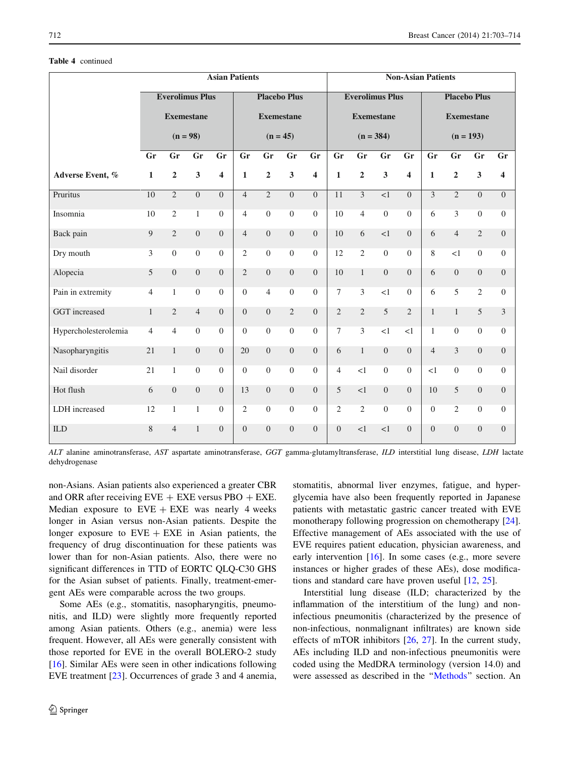## Table 4 continued

|                      | <b>Asian Patients</b> |                        |                         |                         |                  |                     |                         |                         |                                               |                   |                         | <b>Non-Asian Patients</b> |                   |                |                  |                         |  |  |  |  |  |  |  |
|----------------------|-----------------------|------------------------|-------------------------|-------------------------|------------------|---------------------|-------------------------|-------------------------|-----------------------------------------------|-------------------|-------------------------|---------------------------|-------------------|----------------|------------------|-------------------------|--|--|--|--|--|--|--|
|                      |                       | <b>Everolimus Plus</b> |                         |                         |                  | <b>Placebo Plus</b> |                         |                         | <b>Everolimus Plus</b><br><b>Placebo Plus</b> |                   |                         |                           |                   |                |                  |                         |  |  |  |  |  |  |  |
|                      | <b>Exemestane</b>     |                        |                         |                         |                  | <b>Exemestane</b>   |                         |                         |                                               | <b>Exemestane</b> |                         |                           | <b>Exemestane</b> |                |                  |                         |  |  |  |  |  |  |  |
|                      |                       | $(n = 98)$             |                         |                         |                  | $(n = 45)$          |                         |                         |                                               | $(n = 384)$       |                         |                           | $(n = 193)$       |                |                  |                         |  |  |  |  |  |  |  |
|                      | Gr                    | Gr                     | Gr                      | Gr                      | Gr               | Gr                  | Gr                      | Gr                      | Gr                                            | Gr                | Gr                      | Gr                        | Gr                | Gr             | Gr               | Gr                      |  |  |  |  |  |  |  |
| Adverse Event, %     | $\mathbf{1}$          | $\mathbf 2$            | $\overline{\mathbf{3}}$ | $\overline{\mathbf{4}}$ | $\mathbf{1}$     | $\overline{2}$      | $\overline{\mathbf{3}}$ | $\overline{\mathbf{4}}$ | $\mathbf{1}$                                  | $\mathbf 2$       | $\overline{\mathbf{3}}$ | $\overline{\mathbf{4}}$   | $\mathbf{1}$      | $\overline{2}$ | $\mathbf{3}$     | $\overline{\mathbf{4}}$ |  |  |  |  |  |  |  |
| Pruritus             | $\overline{10}$       | $\overline{2}$         | $\boldsymbol{0}$        | $\Omega$                | $\overline{4}$   | $\overline{2}$      | $\overline{0}$          | $\boldsymbol{0}$        | 11                                            | $\overline{3}$    | $\overline{1}$          | $\Omega$                  | 3                 | $\overline{c}$ | $\Omega$         | $\overline{0}$          |  |  |  |  |  |  |  |
| Insomnia             | 10                    | $\overline{2}$         | $\mathbf{1}$            | $\boldsymbol{0}$        | $\overline{4}$   | $\boldsymbol{0}$    | $\boldsymbol{0}$        | $\boldsymbol{0}$        | 10                                            | $\overline{4}$    | $\boldsymbol{0}$        | $\boldsymbol{0}$          | 6                 | 3              | $\boldsymbol{0}$ | $\overline{0}$          |  |  |  |  |  |  |  |
| Back pain            | 9                     | $\overline{2}$         | $\Omega$                | $\Omega$                | $\overline{4}$   | $\mathbf{0}$        | $\mathbf{0}$            | $\Omega$                | 10                                            | 6                 | <1                      | $\Omega$                  | 6                 | $\overline{4}$ | $\overline{2}$   | $\theta$                |  |  |  |  |  |  |  |
| Dry mouth            | 3                     | $\Omega$               | $\Omega$                | $\Omega$                | $\overline{2}$   | $\boldsymbol{0}$    | $\boldsymbol{0}$        | $\overline{0}$          | 12                                            | $\overline{2}$    | $\boldsymbol{0}$        | $\Omega$                  | 8                 | <1             | $\mathbf{0}$     | $\overline{0}$          |  |  |  |  |  |  |  |
| Alopecia             | 5                     | $\mathbf{0}$           | $\overline{0}$          | $\Omega$                | $\overline{2}$   | $\mathbf{0}$        | $\mathbf{0}$            | $\boldsymbol{0}$        | 10                                            | $\mathbf{1}$      | $\overline{0}$          | $\Omega$                  | 6                 | $\overline{0}$ | $\mathbf{0}$     | $\overline{0}$          |  |  |  |  |  |  |  |
| Pain in extremity    | $\overline{4}$        | $\mathbf{1}$           | $\overline{0}$          | $\mathbf{0}$            | $\boldsymbol{0}$ | $\overline{4}$      | $\boldsymbol{0}$        | $\boldsymbol{0}$        | $\tau$                                        | 3                 | <1                      | $\mathbf{0}$              | 6                 | 5              | $\mathbf{2}$     | $\overline{0}$          |  |  |  |  |  |  |  |
| GGT increased        | $\mathbf{1}$          | $\mathfrak{2}$         | $\overline{4}$          | $\Omega$                | $\boldsymbol{0}$ | $\boldsymbol{0}$    | $\sqrt{2}$              | $\boldsymbol{0}$        | $\mathbf{2}$                                  | $\sqrt{2}$        | 5                       | $\overline{2}$            | $\mathbf{1}$      | $\mathbf{1}$   | 5                | 3                       |  |  |  |  |  |  |  |
| Hypercholesterolemia | $\overline{4}$        | $\overline{4}$         | $\overline{0}$          | $\Omega$                | $\mathbf{0}$     | $\boldsymbol{0}$    | $\mathbf{0}$            | $\overline{0}$          | $\tau$                                        | 3                 | $\leq$ 1                | $\leq$ 1                  | $\mathbf{1}$      | $\overline{0}$ | $\mathbf{0}$     | $\overline{0}$          |  |  |  |  |  |  |  |
| Nasopharyngitis      | 21                    | $\mathbf{1}$           | $\overline{0}$          | $\Omega$                | 20               | $\overline{0}$      | $\boldsymbol{0}$        | $\overline{0}$          | 6                                             | $\mathbf{1}$      | $\mathbf{0}$            | $\Omega$                  | $\overline{4}$    | 3              | $\overline{0}$   | $\overline{0}$          |  |  |  |  |  |  |  |
| Nail disorder        | 21                    | $\mathbf{1}$           | $\overline{0}$          | $\Omega$                | $\mathbf{0}$     | $\boldsymbol{0}$    | $\boldsymbol{0}$        | $\overline{0}$          | $\overline{4}$                                | <1                | $\boldsymbol{0}$        | $\Omega$                  | <1                | $\overline{0}$ | $\mathbf{0}$     | $\overline{0}$          |  |  |  |  |  |  |  |
| Hot flush            | 6                     | $\boldsymbol{0}$       | $\overline{0}$          | $\overline{0}$          | 13               | $\overline{0}$      | $\boldsymbol{0}$        | $\boldsymbol{0}$        | 5                                             | $\leq$ 1          | $\boldsymbol{0}$        | $\overline{0}$            | 10                | 5              | $\boldsymbol{0}$ | $\boldsymbol{0}$        |  |  |  |  |  |  |  |
| LDH increased        | 12                    | $\mathbf{1}$           | $\mathbf{1}$            | $\overline{0}$          | $\mathfrak{2}$   | $\overline{0}$      | $\boldsymbol{0}$        | $\boldsymbol{0}$        | $\overline{2}$                                | $\overline{2}$    | $\boldsymbol{0}$        | $\overline{0}$            | $\boldsymbol{0}$  | $\overline{2}$ | $\mathbf{0}$     | $\boldsymbol{0}$        |  |  |  |  |  |  |  |
| ILD                  | 8                     | $\overline{4}$         | $\mathbf{1}$            | $\overline{0}$          | $\overline{0}$   | $\boldsymbol{0}$    | $\boldsymbol{0}$        | $\overline{0}$          | $\mathbf{0}$                                  | <1                | <1                      | $\overline{0}$            | $\overline{0}$    | $\overline{0}$ | $\boldsymbol{0}$ | $\overline{0}$          |  |  |  |  |  |  |  |

ALT alanine aminotransferase, AST aspartate aminotransferase, GGT gamma-glutamyltransferase, ILD interstitial lung disease, LDH lactate dehydrogenase

non-Asians. Asian patients also experienced a greater CBR and ORR after receiving  $EVE + EXE$  versus PBO + EXE. Median exposure to  $EVE + EXE$  was nearly 4 weeks longer in Asian versus non-Asian patients. Despite the longer exposure to  $EVE + EXE$  in Asian patients, the frequency of drug discontinuation for these patients was lower than for non-Asian patients. Also, there were no significant differences in TTD of EORTC QLQ-C30 GHS for the Asian subset of patients. Finally, treatment-emergent AEs were comparable across the two groups.

Some AEs (e.g., stomatitis, nasopharyngitis, pneumonitis, and ILD) were slightly more frequently reported among Asian patients. Others (e.g., anemia) were less frequent. However, all AEs were generally consistent with those reported for EVE in the overall BOLERO-2 study [\[16](#page-11-0)]. Similar AEs were seen in other indications following EVE treatment [\[23](#page-11-0)]. Occurrences of grade 3 and 4 anemia,

stomatitis, abnormal liver enzymes, fatigue, and hyperglycemia have also been frequently reported in Japanese patients with metastatic gastric cancer treated with EVE monotherapy following progression on chemotherapy [\[24](#page-11-0)]. Effective management of AEs associated with the use of EVE requires patient education, physician awareness, and early intervention [\[16](#page-11-0)]. In some cases (e.g., more severe instances or higher grades of these AEs), dose modifications and standard care have proven useful [\[12](#page-11-0), [25](#page-11-0)].

Interstitial lung disease (ILD; characterized by the inflammation of the interstitium of the lung) and noninfectious pneumonitis (characterized by the presence of non-infectious, nonmalignant infiltrates) are known side effects of mTOR inhibitors [[26,](#page-11-0) [27\]](#page-11-0). In the current study, AEs including ILD and non-infectious pneumonitis were coded using the MedDRA terminology (version 14.0) and were assessed as described in the '['Methods](#page-2-0)'' section. An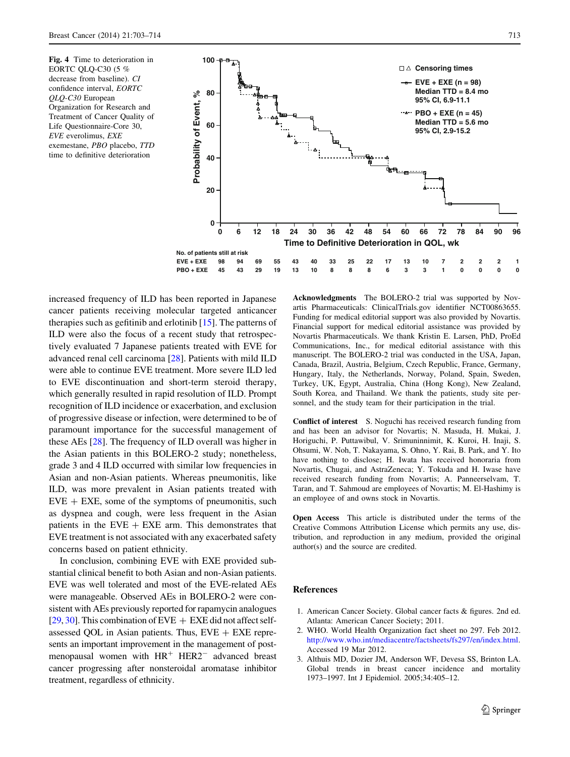<span id="page-10-0"></span>Fig. 4 Time to deterioration in EORTC QLQ-C30 (5 % decrease from baseline). CI confidence interval, EORTC QLQ-C30 European Organization for Research and Treatment of Cancer Quality of Life Questionnaire-Core 30, EVE everolimus, EXE exemestane, PBO placebo, TTD time to definitive deterioration



increased frequency of ILD has been reported in Japanese cancer patients receiving molecular targeted anticancer therapies such as gefitinib and erlotinib [\[15](#page-11-0)]. The patterns of ILD were also the focus of a recent study that retrospectively evaluated 7 Japanese patients treated with EVE for advanced renal cell carcinoma [[28\]](#page-11-0). Patients with mild ILD were able to continue EVE treatment. More severe ILD led to EVE discontinuation and short-term steroid therapy, which generally resulted in rapid resolution of ILD. Prompt recognition of ILD incidence or exacerbation, and exclusion of progressive disease or infection, were determined to be of paramount importance for the successful management of these AEs [[28\]](#page-11-0). The frequency of ILD overall was higher in the Asian patients in this BOLERO-2 study; nonetheless, grade 3 and 4 ILD occurred with similar low frequencies in Asian and non-Asian patients. Whereas pneumonitis, like ILD, was more prevalent in Asian patients treated with  $EVE + EXE$ , some of the symptoms of pneumonitis, such as dyspnea and cough, were less frequent in the Asian patients in the  $EVE + EXE$  arm. This demonstrates that EVE treatment is not associated with any exacerbated safety concerns based on patient ethnicity.

In conclusion, combining EVE with EXE provided substantial clinical benefit to both Asian and non-Asian patients. EVE was well tolerated and most of the EVE-related AEs were manageable. Observed AEs in BOLERO-2 were consistent with AEs previously reported for rapamycin analogues [\[29](#page-11-0), [30\]](#page-11-0). This combination of  $EVE + EXE$  did not affect selfassessed QOL in Asian patients. Thus,  $EVE + EXE$  represents an important improvement in the management of postmenopausal women with  $HR^+$  HER2<sup>-</sup> advanced breast cancer progressing after nonsteroidal aromatase inhibitor treatment, regardless of ethnicity.

Acknowledgments The BOLERO-2 trial was supported by Novartis Pharmaceuticals: ClinicalTrials.gov identifier NCT00863655. Funding for medical editorial support was also provided by Novartis. Financial support for medical editorial assistance was provided by Novartis Pharmaceuticals. We thank Kristin E. Larsen, PhD, ProEd Communications, Inc., for medical editorial assistance with this manuscript. The BOLERO-2 trial was conducted in the USA, Japan, Canada, Brazil, Austria, Belgium, Czech Republic, France, Germany, Hungary, Italy, the Netherlands, Norway, Poland, Spain, Sweden, Turkey, UK, Egypt, Australia, China (Hong Kong), New Zealand, South Korea, and Thailand. We thank the patients, study site personnel, and the study team for their participation in the trial.

Conflict of interest S. Noguchi has received research funding from and has been an advisor for Novartis; N. Masuda, H. Mukai, J. Horiguchi, P. Puttawibul, V. Srimuninnimit, K. Kuroi, H. Inaji, S. Ohsumi, W. Noh, T. Nakayama, S. Ohno, Y. Rai, B. Park, and Y. Ito have nothing to disclose; H. Iwata has received honoraria from Novartis, Chugai, and AstraZeneca; Y. Tokuda and H. Iwase have received research funding from Novartis; A. Panneerselvam, T. Taran, and T. Sahmoud are employees of Novartis; M. El-Hashimy is an employee of and owns stock in Novartis.

Open Access This article is distributed under the terms of the Creative Commons Attribution License which permits any use, distribution, and reproduction in any medium, provided the original author(s) and the source are credited.

#### References

- 1. American Cancer Society. Global cancer facts & figures. 2nd ed. Atlanta: American Cancer Society; 2011.
- 2. WHO. World Health Organization fact sheet no 297. Feb 2012. [http://www.who.int/mediacentre/factsheets/fs297/en/index.html.](http://www.who.int/mediacentre/factsheets/fs297/en/index.html) Accessed 19 Mar 2012.
- 3. Althuis MD, Dozier JM, Anderson WF, Devesa SS, Brinton LA. Global trends in breast cancer incidence and mortality 1973–1997. Int J Epidemiol. 2005;34:405–12.